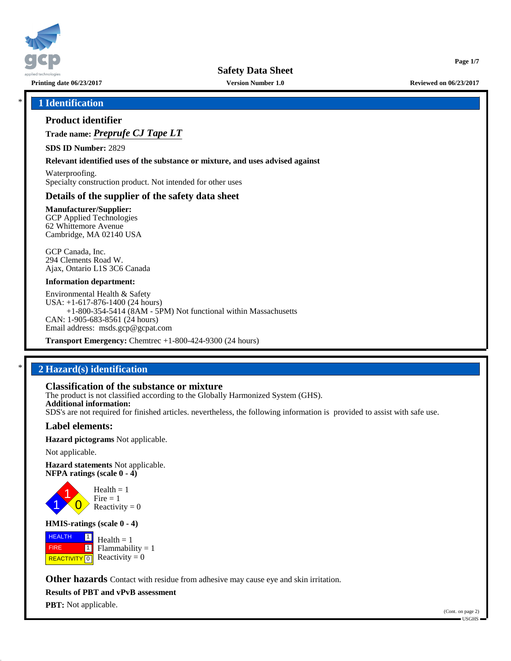

**Safety Data Sheet**

**Printing date 06/23/2017 Version Number 1.0 Reviewed on 06/23/2017**

**Page 1/7**

## \* **1 Identification**

## **Product identifier**

**Trade name:** *Preprufe CJ Tape LT*

**SDS ID Number:** 2829

**Relevant identified uses of the substance or mixture, and uses advised against**

Waterproofing. Specialty construction product. Not intended for other uses

### **Details of the supplier of the safety data sheet**

**Manufacturer/Supplier:** GCP Applied Technologies 62 Whittemore Avenue Cambridge, MA 02140 USA

GCP Canada, Inc. 294 Clements Road W. Ajax, Ontario L1S 3C6 Canada

#### **Information department:**

Environmental Health & Safety USA: +1-617-876-1400 (24 hours) +1-800-354-5414 (8AM - 5PM) Not functional within Massachusetts CAN: 1-905-683-8561 (24 hours) Email address: msds.gcp@gcpat.com

**Transport Emergency:** Chemtrec +1-800-424-9300 (24 hours)

## \* **2 Hazard(s) identification**

## **Classification of the substance or mixture**

The product is not classified according to the Globally Harmonized System (GHS). **Additional information:** SDS's are not required for finished articles. nevertheless, the following information is provided to assist with safe use.

## **Label elements:**

**Hazard pictograms** Not applicable.

Not applicable.

**Hazard statements** Not applicable. **NFPA ratings (scale 0 - 4)**



**HMIS-ratings (scale 0 - 4)**

**HEALTH**  FIRE **REACTIVITY** 0  $\boxed{1}$  $\overline{\mathbf{1}}$  $Health = 1$  $Flammability = 1$ Reactivity  $= 0$ 

**Other hazards** Contact with residue from adhesive may cause eye and skin irritation.

**Results of PBT and vPvB assessment**

**PBT:** Not applicable.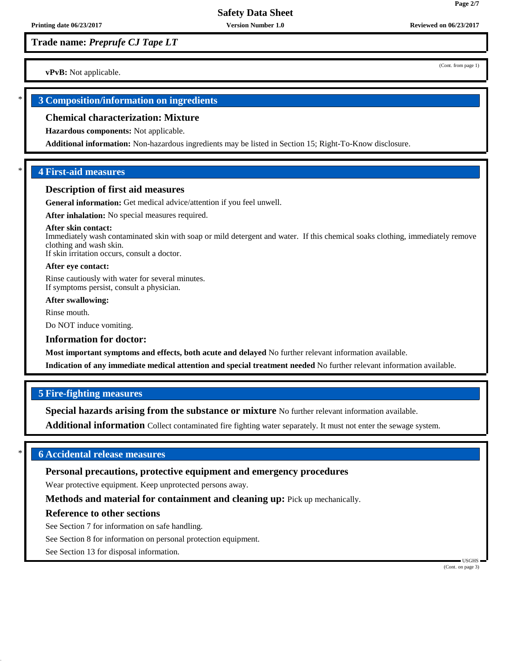(Cont. from page 1)

**Page 2/7**

**vPvB:** Not applicable.

## \* **3 Composition/information on ingredients**

#### **Chemical characterization: Mixture**

**Hazardous components:** Not applicable.

**Additional information:** Non-hazardous ingredients may be listed in Section 15; Right-To-Know disclosure.

## \* **4 First-aid measures**

#### **Description of first aid measures**

**General information:** Get medical advice/attention if you feel unwell.

**After inhalation:** No special measures required.

#### **After skin contact:**

Immediately wash contaminated skin with soap or mild detergent and water. If this chemical soaks clothing, immediately remove clothing and wash skin. If skin irritation occurs, consult a doctor.

**After eye contact:**

Rinse cautiously with water for several minutes. If symptoms persist, consult a physician.

**After swallowing:**

Rinse mouth.

Do NOT induce vomiting.

#### **Information for doctor:**

**Most important symptoms and effects, both acute and delayed** No further relevant information available.

**Indication of any immediate medical attention and special treatment needed** No further relevant information available.

#### **5 Fire-fighting measures**

**Special hazards arising from the substance or mixture** No further relevant information available.

**Additional information** Collect contaminated fire fighting water separately. It must not enter the sewage system.

## \* **6 Accidental release measures**

### **Personal precautions, protective equipment and emergency procedures**

Wear protective equipment. Keep unprotected persons away.

**Methods and material for containment and cleaning up:** Pick up mechanically.

#### **Reference to other sections**

See Section 7 for information on safe handling.

See Section 8 for information on personal protection equipment.

See Section 13 for disposal information.

 USGHS (Cont. on page 3)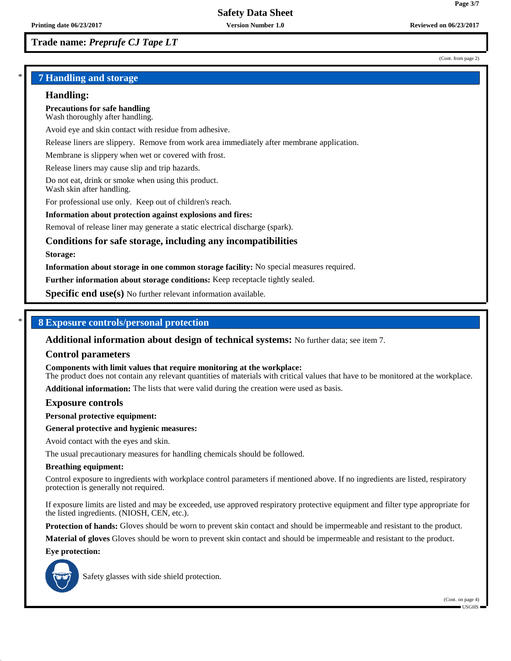#### (Cont. from page 2)

**Page 3/7**

## \* **7 Handling and storage**

#### **Handling:**

**Precautions for safe handling** Wash thoroughly after handling.

Avoid eye and skin contact with residue from adhesive.

Release liners are slippery. Remove from work area immediately after membrane application.

Membrane is slippery when wet or covered with frost.

Release liners may cause slip and trip hazards.

Do not eat, drink or smoke when using this product. Wash skin after handling.

For professional use only. Keep out of children's reach.

#### **Information about protection against explosions and fires:**

Removal of release liner may generate a static electrical discharge (spark).

## **Conditions for safe storage, including any incompatibilities**

#### **Storage:**

**Information about storage in one common storage facility:** No special measures required.

**Further information about storage conditions:** Keep receptacle tightly sealed.

**Specific end use(s)** No further relevant information available.

## \* **8 Exposure controls/personal protection**

**Additional information about design of technical systems:** No further data; see item 7.

#### **Control parameters**

**Components with limit values that require monitoring at the workplace:**

The product does not contain any relevant quantities of materials with critical values that have to be monitored at the workplace.

**Additional information:** The lists that were valid during the creation were used as basis.

#### **Exposure controls**

**Personal protective equipment:**

#### **General protective and hygienic measures:**

Avoid contact with the eyes and skin.

The usual precautionary measures for handling chemicals should be followed.

#### **Breathing equipment:**

Control exposure to ingredients with workplace control parameters if mentioned above. If no ingredients are listed, respiratory protection is generally not required.

If exposure limits are listed and may be exceeded, use approved respiratory protective equipment and filter type appropriate for the listed ingredients. (NIOSH, CEN, etc.).

**Protection of hands:** Gloves should be worn to prevent skin contact and should be impermeable and resistant to the product.

**Material of gloves** Gloves should be worn to prevent skin contact and should be impermeable and resistant to the product.

#### **Eye protection:**



Safety glasses with side shield protection.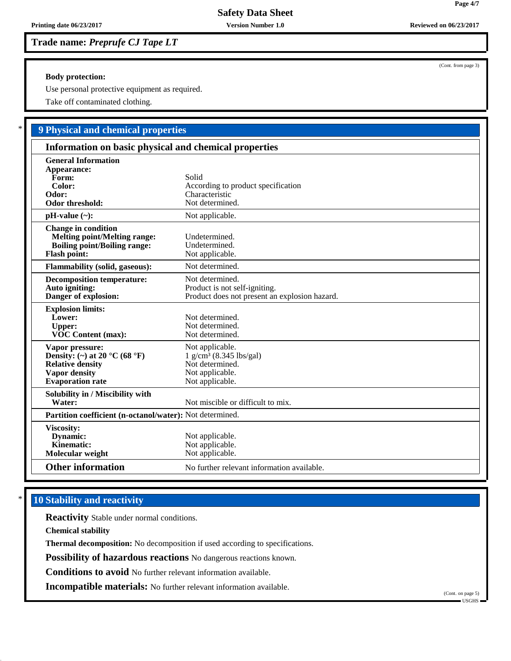#### **Body protection:**

Use personal protective equipment as required.

Take off contaminated clothing.

# \* **9 Physical and chemical properties**

| Information on basic physical and chemical properties                                                                                       |                                                                                                                   |  |
|---------------------------------------------------------------------------------------------------------------------------------------------|-------------------------------------------------------------------------------------------------------------------|--|
| <b>General Information</b><br>Appearance:<br>Form:<br>Color:<br>Odor:<br><b>Odor threshold:</b>                                             | Solid<br>According to product specification<br>Characteristic<br>Not determined.                                  |  |
| $pH-value (\sim):$                                                                                                                          | Not applicable.                                                                                                   |  |
| <b>Change in condition</b><br><b>Melting point/Melting range:</b><br><b>Boiling point/Boiling range:</b><br><b>Flash point:</b>             | Undetermined.<br>Undetermined.<br>Not applicable.                                                                 |  |
| <b>Flammability (solid, gaseous):</b>                                                                                                       | Not determined.                                                                                                   |  |
| <b>Decomposition temperature:</b><br>Auto igniting:<br>Danger of explosion:                                                                 | Not determined.<br>Product is not self-igniting.<br>Product does not present an explosion hazard.                 |  |
| <b>Explosion limits:</b><br>Lower:<br><b>Upper:</b><br><b>VOC Content (max):</b>                                                            | Not determined.<br>Not determined.<br>Not determined.                                                             |  |
| Vapor pressure:<br>Density: (~) at 20 $^{\circ}$ C (68 $^{\circ}$ F)<br><b>Relative density</b><br>Vapor density<br><b>Evaporation</b> rate | Not applicable.<br>$1$ g/cm <sup>3</sup> (8.345 lbs/gal)<br>Not determined.<br>Not applicable.<br>Not applicable. |  |
| Solubility in / Miscibility with<br>Water:                                                                                                  | Not miscible or difficult to mix.                                                                                 |  |
| Partition coefficient (n-octanol/water): Not determined.                                                                                    |                                                                                                                   |  |
| Viscosity:<br>Dynamic:<br>Kinematic:<br>Molecular weight                                                                                    | Not applicable.<br>Not applicable.<br>Not applicable.                                                             |  |
| <b>Other information</b>                                                                                                                    | No further relevant information available.                                                                        |  |

## **10 Stability and reactivity**

**Reactivity** Stable under normal conditions.

**Chemical stability**

**Thermal decomposition:** No decomposition if used according to specifications.

**Possibility of hazardous reactions** No dangerous reactions known.

**Conditions to avoid** No further relevant information available.

**Incompatible materials:** No further relevant information available.

(Cont. on page 5) USGHS

(Cont. from page 3)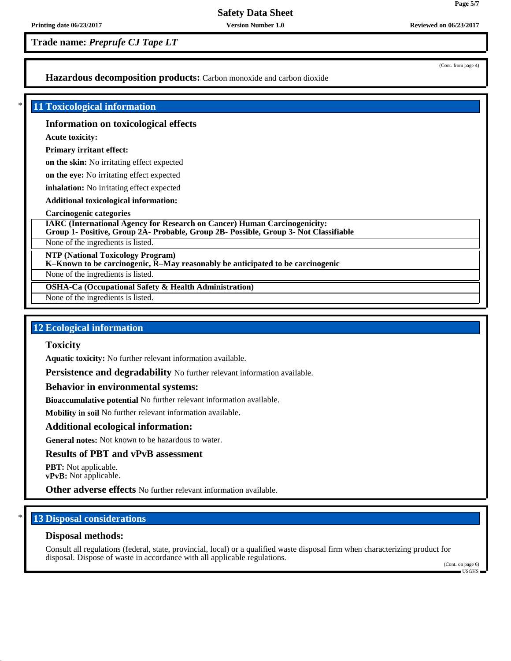(Cont. from page 4)

**Page 5/7**

## **Hazardous decomposition products:** Carbon monoxide and carbon dioxide

### \* **11 Toxicological information**

### **Information on toxicological effects**

**Acute toxicity:**

**Primary irritant effect:**

**on the skin:** No irritating effect expected

**on the eye:** No irritating effect expected

**inhalation:** No irritating effect expected

**Additional toxicological information:**

**Carcinogenic categories**

**IARC (International Agency for Research on Cancer) Human Carcinogenicity: Group 1- Positive, Group 2A- Probable, Group 2B- Possible, Group 3- Not Classifiable**

None of the ingredients is listed.

**NTP (National Toxicology Program)**

**K–Known to be carcinogenic, R–May reasonably be anticipated to be carcinogenic**

None of the ingredients is listed.

**OSHA-Ca (Occupational Safety & Health Administration)**

None of the ingredients is listed.

## **12 Ecological information**

## **Toxicity**

**Aquatic toxicity:** No further relevant information available.

**Persistence and degradability** No further relevant information available.

#### **Behavior in environmental systems:**

**Bioaccumulative potential** No further relevant information available.

**Mobility in soil** No further relevant information available.

#### **Additional ecological information:**

**General notes:** Not known to be hazardous to water.

## **Results of PBT and vPvB assessment**

**PBT:** Not applicable. **vPvB:** Not applicable.

**Other adverse effects** No further relevant information available.

## **13 Disposal considerations**

#### **Disposal methods:**

Consult all regulations (federal, state, provincial, local) or a qualified waste disposal firm when characterizing product for disposal. Dispose of waste in accordance with all applicable regulations.

(Cont. on page 6) USGHS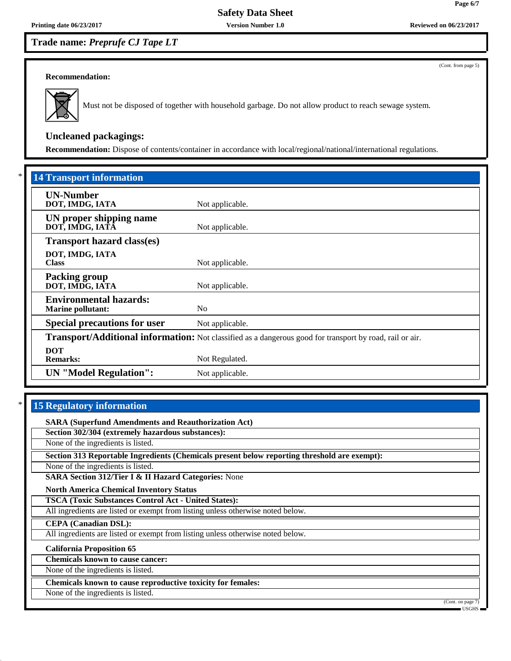(Cont. from page 5)

**Page 6/7**

### **Recommendation:**



Must not be disposed of together with household garbage. Do not allow product to reach sewage system.

# **Uncleaned packagings:**

**Recommendation:** Dispose of contents/container in accordance with local/regional/national/international regulations.

| <b>14 Transport information</b>                           |                                                                                                          |
|-----------------------------------------------------------|----------------------------------------------------------------------------------------------------------|
| <b>UN-Number</b><br>DOT, IMDG, IATA                       | Not applicable.                                                                                          |
| UN proper shipping name<br>DOT, IMDG, IATĀ                | Not applicable.                                                                                          |
| <b>Transport hazard class(es)</b>                         |                                                                                                          |
| DOT, IMDG, IATA<br><b>Class</b>                           | Not applicable.                                                                                          |
| <b>Packing group</b><br>DOT, IMDG, IATA                   | Not applicable.                                                                                          |
| <b>Environmental hazards:</b><br><b>Marine pollutant:</b> | N <sub>0</sub>                                                                                           |
| <b>Special precautions for user</b>                       | Not applicable.                                                                                          |
|                                                           | Transport/Additional information: Not classified as a dangerous good for transport by road, rail or air. |
| <b>DOT</b><br><b>Remarks:</b>                             | Not Regulated.                                                                                           |
| <b>UN</b> "Model Regulation":                             | Not applicable.                                                                                          |

## **15 Regulatory information**

**SARA (Superfund Amendments and Reauthorization Act)**

**Section 302/304 (extremely hazardous substances):**

None of the ingredients is listed.

**Section 313 Reportable Ingredients (Chemicals present below reporting threshold are exempt):**

None of the ingredients is listed.

**SARA Section 312/Tier I & II Hazard Categories:** None

**North America Chemical Inventory Status**

**TSCA (Toxic Substances Control Act - United States):**

All ingredients are listed or exempt from listing unless otherwise noted below.

**CEPA (Canadian DSL):**

All ingredients are listed or exempt from listing unless otherwise noted below.

**California Proposition 65**

**Chemicals known to cause cancer:**

None of the ingredients is listed.

**Chemicals known to cause reproductive toxicity for females:**

None of the ingredients is listed.